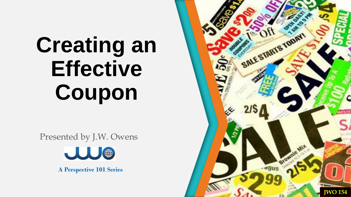Presented by J.W. Owens



**A Perspective 101 Series**

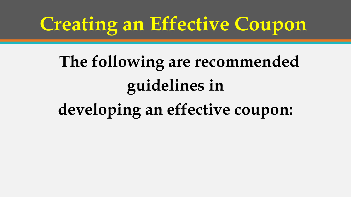# **The following are recommended guidelines in developing an effective coupon:**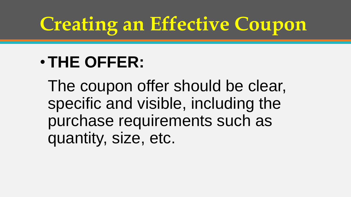### •**THE OFFER:**

The coupon offer should be clear, specific and visible, including the purchase requirements such as quantity, size, etc.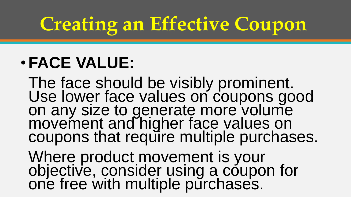### •**FACE VALUE:**

The face should be visibly prominent. Use lower face values on coupons good on any size to generate more volume movement and higher face values on coupons that require multiple purchases.

Where product movement is your objective, consider using a coupon for one free with multiple purchases.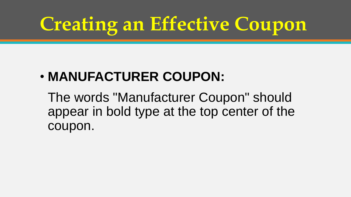### • **MANUFACTURER COUPON:**

The words "Manufacturer Coupon" should appear in bold type at the top center of the coupon.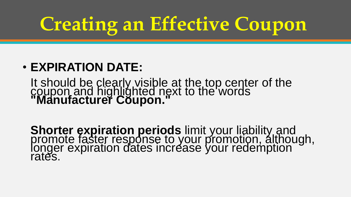#### • **EXPIRATION DATE:**

It should be clearly visible at the top center of the coupon and highlighted next to the words **"Manufacturer Coupon."** 

**Shorter expiration periods** limit your liability and<br>promote faster response to your promotion, although, longer expiration dates increase your redemption rates.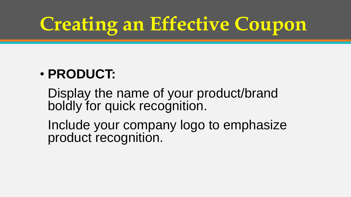#### • **PRODUCT:**

Display the name of your product/brand boldly for quick recognition.

Include your company logo to emphasize product recognition.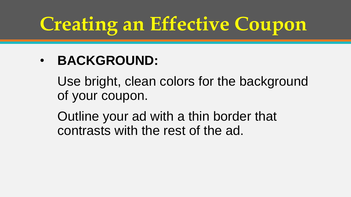#### • **BACKGROUND:**

Use bright, clean colors for the background of your coupon.

Outline your ad with a thin border that contrasts with the rest of the ad.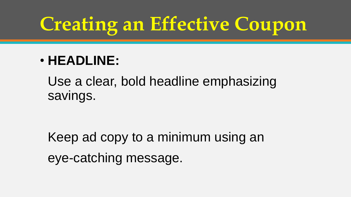#### • **HEADLINE:**

Use a clear, bold headline emphasizing savings.

Keep ad copy to a minimum using an eye-catching message.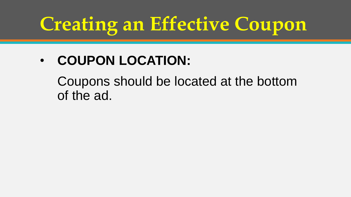#### • **COUPON LOCATION:**

Coupons should be located at the bottom of the ad.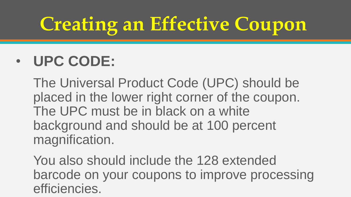### • **UPC CODE:**

The Universal Product Code (UPC) should be placed in the lower right corner of the coupon. The UPC must be in black on a white background and should be at 100 percent magnification.

You also should include the 128 extended barcode on your coupons to improve processing efficiencies.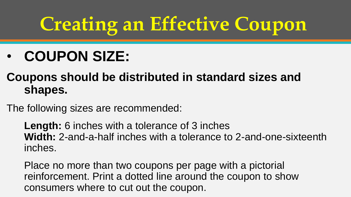### • **COUPON SIZE:**

#### **Coupons should be distributed in standard sizes and shapes.**

The following sizes are recommended:

**Length:** 6 inches with a tolerance of 3 inches **Width:** 2-and-a-half inches with a tolerance to 2-and-one-sixteenth inches.

Place no more than two coupons per page with a pictorial reinforcement. Print a dotted line around the coupon to show consumers where to cut out the coupon.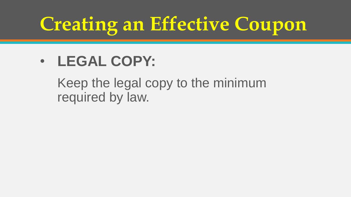#### • **LEGAL COPY:**

Keep the legal copy to the minimum required by law.